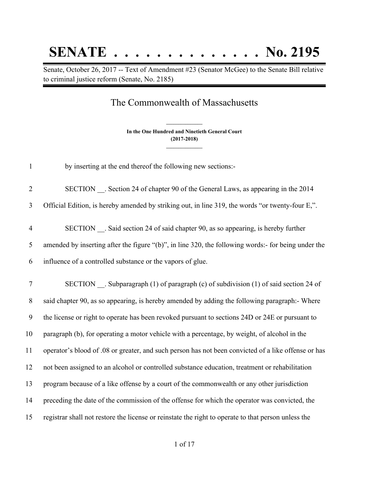## **SENATE . . . . . . . . . . . . . . No. 2195**

Senate, October 26, 2017 -- Text of Amendment #23 (Senator McGee) to the Senate Bill relative to criminal justice reform (Senate, No. 2185)

## The Commonwealth of Massachusetts

**In the One Hundred and Ninetieth General Court (2017-2018) \_\_\_\_\_\_\_\_\_\_\_\_\_\_\_**

**\_\_\_\_\_\_\_\_\_\_\_\_\_\_\_**

1 by inserting at the end thereof the following new sections:-

2 SECTION . Section 24 of chapter 90 of the General Laws, as appearing in the 2014

3 Official Edition, is hereby amended by striking out, in line 319, the words "or twenty-four E,".

4 SECTION \_\_. Said section 24 of said chapter 90, as so appearing, is hereby further 5 amended by inserting after the figure "(b)", in line 320, the following words:- for being under the 6 influence of a controlled substance or the vapors of glue.

7 SECTION . Subparagraph (1) of paragraph (c) of subdivision (1) of said section 24 of said chapter 90, as so appearing, is hereby amended by adding the following paragraph:- Where the license or right to operate has been revoked pursuant to sections 24D or 24E or pursuant to paragraph (b), for operating a motor vehicle with a percentage, by weight, of alcohol in the operator's blood of .08 or greater, and such person has not been convicted of a like offense or has not been assigned to an alcohol or controlled substance education, treatment or rehabilitation program because of a like offense by a court of the commonwealth or any other jurisdiction preceding the date of the commission of the offense for which the operator was convicted, the registrar shall not restore the license or reinstate the right to operate to that person unless the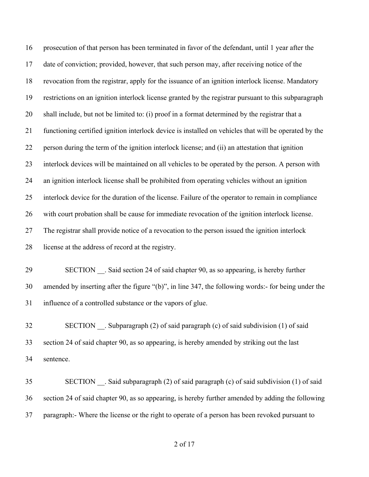prosecution of that person has been terminated in favor of the defendant, until 1 year after the date of conviction; provided, however, that such person may, after receiving notice of the revocation from the registrar, apply for the issuance of an ignition interlock license. Mandatory restrictions on an ignition interlock license granted by the registrar pursuant to this subparagraph shall include, but not be limited to: (i) proof in a format determined by the registrar that a functioning certified ignition interlock device is installed on vehicles that will be operated by the person during the term of the ignition interlock license; and (ii) an attestation that ignition interlock devices will be maintained on all vehicles to be operated by the person. A person with an ignition interlock license shall be prohibited from operating vehicles without an ignition interlock device for the duration of the license. Failure of the operator to remain in compliance with court probation shall be cause for immediate revocation of the ignition interlock license. The registrar shall provide notice of a revocation to the person issued the ignition interlock license at the address of record at the registry.

29 SECTION . Said section 24 of said chapter 90, as so appearing, is hereby further amended by inserting after the figure "(b)", in line 347, the following words:- for being under the influence of a controlled substance or the vapors of glue.

 SECTION \_\_. Subparagraph (2) of said paragraph (c) of said subdivision (1) of said section 24 of said chapter 90, as so appearing, is hereby amended by striking out the last sentence.

 SECTION \_\_. Said subparagraph (2) of said paragraph (c) of said subdivision (1) of said section 24 of said chapter 90, as so appearing, is hereby further amended by adding the following paragraph:- Where the license or the right to operate of a person has been revoked pursuant to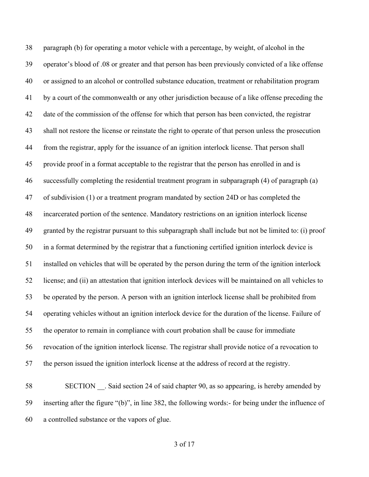paragraph (b) for operating a motor vehicle with a percentage, by weight, of alcohol in the operator's blood of .08 or greater and that person has been previously convicted of a like offense or assigned to an alcohol or controlled substance education, treatment or rehabilitation program by a court of the commonwealth or any other jurisdiction because of a like offense preceding the date of the commission of the offense for which that person has been convicted, the registrar shall not restore the license or reinstate the right to operate of that person unless the prosecution from the registrar, apply for the issuance of an ignition interlock license. That person shall provide proof in a format acceptable to the registrar that the person has enrolled in and is successfully completing the residential treatment program in subparagraph (4) of paragraph (a) of subdivision (1) or a treatment program mandated by section 24D or has completed the incarcerated portion of the sentence. Mandatory restrictions on an ignition interlock license granted by the registrar pursuant to this subparagraph shall include but not be limited to: (i) proof in a format determined by the registrar that a functioning certified ignition interlock device is installed on vehicles that will be operated by the person during the term of the ignition interlock license; and (ii) an attestation that ignition interlock devices will be maintained on all vehicles to be operated by the person. A person with an ignition interlock license shall be prohibited from operating vehicles without an ignition interlock device for the duration of the license. Failure of the operator to remain in compliance with court probation shall be cause for immediate revocation of the ignition interlock license. The registrar shall provide notice of a revocation to the person issued the ignition interlock license at the address of record at the registry.

58 SECTION . Said section 24 of said chapter 90, as so appearing, is hereby amended by inserting after the figure "(b)", in line 382, the following words:- for being under the influence of a controlled substance or the vapors of glue.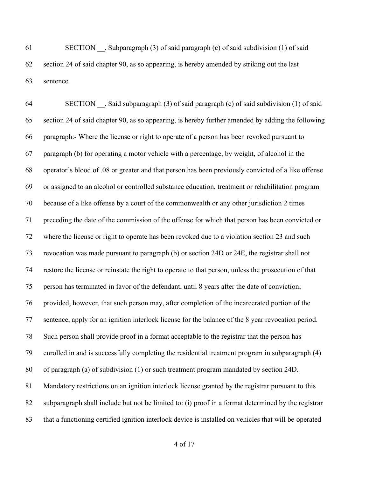SECTION \_\_. Subparagraph (3) of said paragraph (c) of said subdivision (1) of said section 24 of said chapter 90, as so appearing, is hereby amended by striking out the last sentence.

 SECTION \_\_. Said subparagraph (3) of said paragraph (c) of said subdivision (1) of said section 24 of said chapter 90, as so appearing, is hereby further amended by adding the following paragraph:- Where the license or right to operate of a person has been revoked pursuant to paragraph (b) for operating a motor vehicle with a percentage, by weight, of alcohol in the operator's blood of .08 or greater and that person has been previously convicted of a like offense or assigned to an alcohol or controlled substance education, treatment or rehabilitation program because of a like offense by a court of the commonwealth or any other jurisdiction 2 times preceding the date of the commission of the offense for which that person has been convicted or where the license or right to operate has been revoked due to a violation section 23 and such revocation was made pursuant to paragraph (b) or section 24D or 24E, the registrar shall not restore the license or reinstate the right to operate to that person, unless the prosecution of that person has terminated in favor of the defendant, until 8 years after the date of conviction; provided, however, that such person may, after completion of the incarcerated portion of the sentence, apply for an ignition interlock license for the balance of the 8 year revocation period. Such person shall provide proof in a format acceptable to the registrar that the person has enrolled in and is successfully completing the residential treatment program in subparagraph (4) of paragraph (a) of subdivision (1) or such treatment program mandated by section 24D. Mandatory restrictions on an ignition interlock license granted by the registrar pursuant to this subparagraph shall include but not be limited to: (i) proof in a format determined by the registrar that a functioning certified ignition interlock device is installed on vehicles that will be operated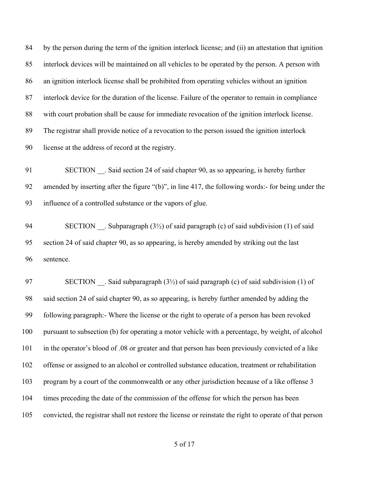by the person during the term of the ignition interlock license; and (ii) an attestation that ignition interlock devices will be maintained on all vehicles to be operated by the person. A person with an ignition interlock license shall be prohibited from operating vehicles without an ignition interlock device for the duration of the license. Failure of the operator to remain in compliance with court probation shall be cause for immediate revocation of the ignition interlock license. The registrar shall provide notice of a revocation to the person issued the ignition interlock license at the address of record at the registry.

91 SECTION . Said section 24 of said chapter 90, as so appearing, is hereby further amended by inserting after the figure "(b)", in line 417, the following words:- for being under the influence of a controlled substance or the vapors of glue.

94 SECTION . Subparagraph  $(3\frac{1}{2})$  of said paragraph (c) of said subdivision (1) of said section 24 of said chapter 90, as so appearing, is hereby amended by striking out the last sentence.

97 SECTION . Said subparagraph (3½) of said paragraph (c) of said subdivision (1) of said section 24 of said chapter 90, as so appearing, is hereby further amended by adding the following paragraph:- Where the license or the right to operate of a person has been revoked pursuant to subsection (b) for operating a motor vehicle with a percentage, by weight, of alcohol in the operator's blood of .08 or greater and that person has been previously convicted of a like offense or assigned to an alcohol or controlled substance education, treatment or rehabilitation program by a court of the commonwealth or any other jurisdiction because of a like offense 3 times preceding the date of the commission of the offense for which the person has been convicted, the registrar shall not restore the license or reinstate the right to operate of that person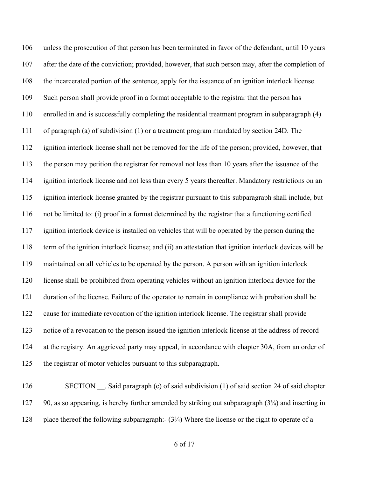unless the prosecution of that person has been terminated in favor of the defendant, until 10 years after the date of the conviction; provided, however, that such person may, after the completion of the incarcerated portion of the sentence, apply for the issuance of an ignition interlock license. Such person shall provide proof in a format acceptable to the registrar that the person has enrolled in and is successfully completing the residential treatment program in subparagraph (4) of paragraph (a) of subdivision (1) or a treatment program mandated by section 24D. The ignition interlock license shall not be removed for the life of the person; provided, however, that the person may petition the registrar for removal not less than 10 years after the issuance of the ignition interlock license and not less than every 5 years thereafter. Mandatory restrictions on an ignition interlock license granted by the registrar pursuant to this subparagraph shall include, but not be limited to: (i) proof in a format determined by the registrar that a functioning certified ignition interlock device is installed on vehicles that will be operated by the person during the term of the ignition interlock license; and (ii) an attestation that ignition interlock devices will be maintained on all vehicles to be operated by the person. A person with an ignition interlock license shall be prohibited from operating vehicles without an ignition interlock device for the duration of the license. Failure of the operator to remain in compliance with probation shall be cause for immediate revocation of the ignition interlock license. The registrar shall provide notice of a revocation to the person issued the ignition interlock license at the address of record at the registry. An aggrieved party may appeal, in accordance with chapter 30A, from an order of the registrar of motor vehicles pursuant to this subparagraph.

126 SECTION . Said paragraph (c) of said subdivision (1) of said section 24 of said chapter 127 90, as so appearing, is hereby further amended by striking out subparagraph (3¼) and inserting in 128 place thereof the following subparagraph:- (3<sup>3</sup>/4) Where the license or the right to operate of a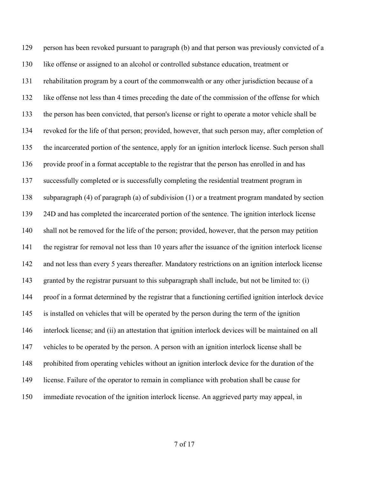129 person has been revoked pursuant to paragraph (b) and that person was previously convicted of a like offense or assigned to an alcohol or controlled substance education, treatment or rehabilitation program by a court of the commonwealth or any other jurisdiction because of a like offense not less than 4 times preceding the date of the commission of the offense for which the person has been convicted, that person's license or right to operate a motor vehicle shall be revoked for the life of that person; provided, however, that such person may, after completion of the incarcerated portion of the sentence, apply for an ignition interlock license. Such person shall provide proof in a format acceptable to the registrar that the person has enrolled in and has successfully completed or is successfully completing the residential treatment program in subparagraph (4) of paragraph (a) of subdivision (1) or a treatment program mandated by section 139 24D and has completed the incarcerated portion of the sentence. The ignition interlock license shall not be removed for the life of the person; provided, however, that the person may petition the registrar for removal not less than 10 years after the issuance of the ignition interlock license and not less than every 5 years thereafter. Mandatory restrictions on an ignition interlock license granted by the registrar pursuant to this subparagraph shall include, but not be limited to: (i) proof in a format determined by the registrar that a functioning certified ignition interlock device is installed on vehicles that will be operated by the person during the term of the ignition interlock license; and (ii) an attestation that ignition interlock devices will be maintained on all vehicles to be operated by the person. A person with an ignition interlock license shall be prohibited from operating vehicles without an ignition interlock device for the duration of the license. Failure of the operator to remain in compliance with probation shall be cause for immediate revocation of the ignition interlock license. An aggrieved party may appeal, in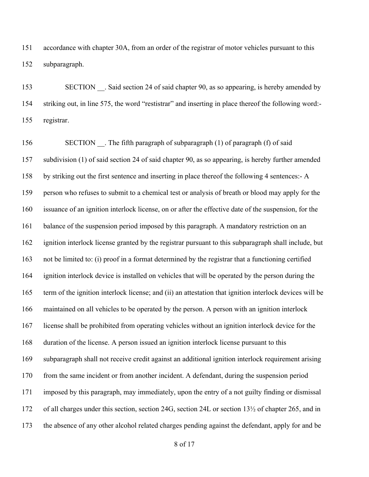accordance with chapter 30A, from an order of the registrar of motor vehicles pursuant to this subparagraph.

153 SECTION . Said section 24 of said chapter 90, as so appearing, is hereby amended by striking out, in line 575, the word "restistrar" and inserting in place thereof the following word:- registrar.

156 SECTION . The fifth paragraph of subparagraph (1) of paragraph (f) of said subdivision (1) of said section 24 of said chapter 90, as so appearing, is hereby further amended by striking out the first sentence and inserting in place thereof the following 4 sentences:- A person who refuses to submit to a chemical test or analysis of breath or blood may apply for the issuance of an ignition interlock license, on or after the effective date of the suspension, for the balance of the suspension period imposed by this paragraph. A mandatory restriction on an ignition interlock license granted by the registrar pursuant to this subparagraph shall include, but not be limited to: (i) proof in a format determined by the registrar that a functioning certified ignition interlock device is installed on vehicles that will be operated by the person during the term of the ignition interlock license; and (ii) an attestation that ignition interlock devices will be maintained on all vehicles to be operated by the person. A person with an ignition interlock license shall be prohibited from operating vehicles without an ignition interlock device for the duration of the license. A person issued an ignition interlock license pursuant to this subparagraph shall not receive credit against an additional ignition interlock requirement arising from the same incident or from another incident. A defendant, during the suspension period imposed by this paragraph, may immediately, upon the entry of a not guilty finding or dismissal of all charges under this section, section 24G, section 24L or section 13½ of chapter 265, and in the absence of any other alcohol related charges pending against the defendant, apply for and be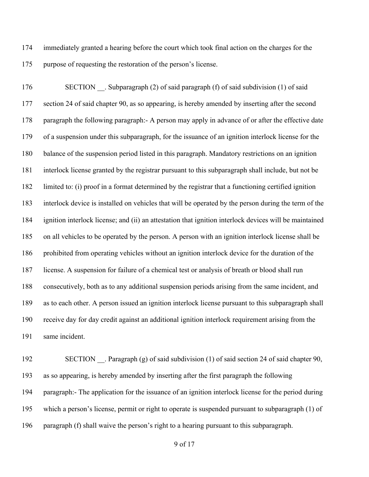immediately granted a hearing before the court which took final action on the charges for the purpose of requesting the restoration of the person's license.

176 SECTION . Subparagraph (2) of said paragraph (f) of said subdivision (1) of said section 24 of said chapter 90, as so appearing, is hereby amended by inserting after the second paragraph the following paragraph:- A person may apply in advance of or after the effective date of a suspension under this subparagraph, for the issuance of an ignition interlock license for the balance of the suspension period listed in this paragraph. Mandatory restrictions on an ignition interlock license granted by the registrar pursuant to this subparagraph shall include, but not be limited to: (i) proof in a format determined by the registrar that a functioning certified ignition interlock device is installed on vehicles that will be operated by the person during the term of the ignition interlock license; and (ii) an attestation that ignition interlock devices will be maintained on all vehicles to be operated by the person. A person with an ignition interlock license shall be prohibited from operating vehicles without an ignition interlock device for the duration of the license. A suspension for failure of a chemical test or analysis of breath or blood shall run consecutively, both as to any additional suspension periods arising from the same incident, and as to each other. A person issued an ignition interlock license pursuant to this subparagraph shall receive day for day credit against an additional ignition interlock requirement arising from the same incident.

192 SECTION . Paragraph (g) of said subdivision (1) of said section 24 of said chapter 90, as so appearing, is hereby amended by inserting after the first paragraph the following paragraph:- The application for the issuance of an ignition interlock license for the period during which a person's license, permit or right to operate is suspended pursuant to subparagraph (1) of paragraph (f) shall waive the person's right to a hearing pursuant to this subparagraph.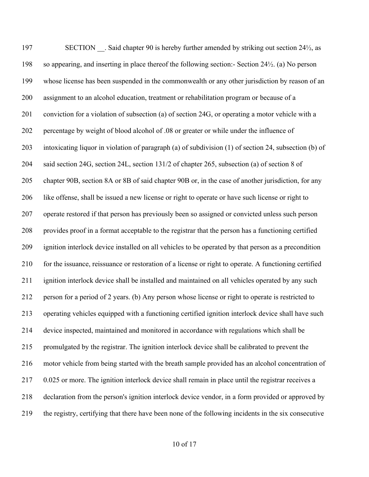197 SECTION . Said chapter 90 is hereby further amended by striking out section 24<sup>1</sup>/<sub>2</sub>, as so appearing, and inserting in place thereof the following section:- Section 24½. (a) No person whose license has been suspended in the commonwealth or any other jurisdiction by reason of an assignment to an alcohol education, treatment or rehabilitation program or because of a conviction for a violation of subsection (a) of section 24G, or operating a motor vehicle with a percentage by weight of blood alcohol of .08 or greater or while under the influence of intoxicating liquor in violation of paragraph (a) of subdivision (1) of section 24, subsection (b) of said section 24G, section 24L, section 131/2 of chapter 265, subsection (a) of section 8 of chapter 90B, section 8A or 8B of said chapter 90B or, in the case of another jurisdiction, for any like offense, shall be issued a new license or right to operate or have such license or right to operate restored if that person has previously been so assigned or convicted unless such person provides proof in a format acceptable to the registrar that the person has a functioning certified ignition interlock device installed on all vehicles to be operated by that person as a precondition for the issuance, reissuance or restoration of a license or right to operate. A functioning certified ignition interlock device shall be installed and maintained on all vehicles operated by any such person for a period of 2 years. (b) Any person whose license or right to operate is restricted to operating vehicles equipped with a functioning certified ignition interlock device shall have such device inspected, maintained and monitored in accordance with regulations which shall be promulgated by the registrar. The ignition interlock device shall be calibrated to prevent the motor vehicle from being started with the breath sample provided has an alcohol concentration of 0.025 or more. The ignition interlock device shall remain in place until the registrar receives a declaration from the person's ignition interlock device vendor, in a form provided or approved by the registry, certifying that there have been none of the following incidents in the six consecutive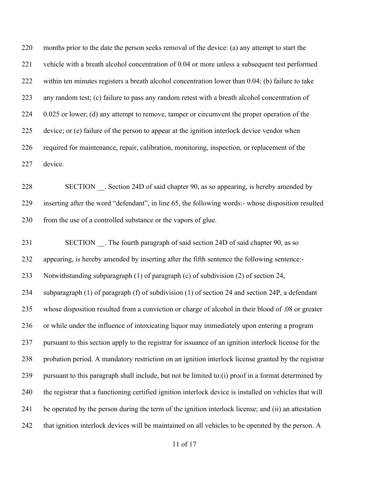months prior to the date the person seeks removal of the device: (a) any attempt to start the vehicle with a breath alcohol concentration of 0.04 or more unless a subsequent test performed within ten minutes registers a breath alcohol concentration lower than 0.04; (b) failure to take any random test; (c) failure to pass any random retest with a breath alcohol concentration of 224 0.025 or lower; (d) any attempt to remove, tamper or circumvent the proper operation of the device; or (e) failure of the person to appear at the ignition interlock device vendor when required for maintenance, repair, calibration, monitoring, inspection, or replacement of the device.

 SECTION \_\_. Section 24D of said chapter 90, as so appearing, is hereby amended by inserting after the word "defendant", in line 65, the following words:- whose disposition resulted 230 from the use of a controlled substance or the vapors of glue.

231 SECTION . The fourth paragraph of said section 24D of said chapter 90, as so appearing, is hereby amended by inserting after the fifth sentence the following sentence:- Notwithstanding subparagraph (1) of paragraph (c) of subdivision (2) of section 24, subparagraph (1) of paragraph (f) of subdivision (1) of section 24 and section 24P, a defendant whose disposition resulted from a conviction or charge of alcohol in their blood of .08 or greater or while under the influence of intoxicating liquor may immediately upon entering a program pursuant to this section apply to the registrar for issuance of an ignition interlock license for the probation period. A mandatory restriction on an ignition interlock license granted by the registrar pursuant to this paragraph shall include, but not be limited to:(i) proof in a format determined by the registrar that a functioning certified ignition interlock device is installed on vehicles that will be operated by the person during the term of the ignition interlock license; and (ii) an attestation 242 that ignition interlock devices will be maintained on all vehicles to be operated by the person. A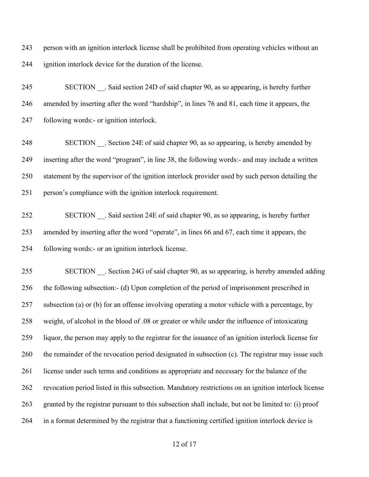person with an ignition interlock license shall be prohibited from operating vehicles without an ignition interlock device for the duration of the license.

 SECTION \_\_. Said section 24D of said chapter 90, as so appearing, is hereby further amended by inserting after the word "hardship", in lines 76 and 81, each time it appears, the following words:- or ignition interlock.

248 SECTION . Section 24E of said chapter 90, as so appearing, is hereby amended by inserting after the word "program", in line 38, the following words:- and may include a written statement by the supervisor of the ignition interlock provider used by such person detailing the person's compliance with the ignition interlock requirement.

 SECTION \_\_. Said section 24E of said chapter 90, as so appearing, is hereby further amended by inserting after the word "operate", in lines 66 and 67, each time it appears, the following words:- or an ignition interlock license.

 SECTION \_\_. Section 24G of said chapter 90, as so appearing, is hereby amended adding the following subsection:- (d) Upon completion of the period of imprisonment prescribed in subsection (a) or (b) for an offense involving operating a motor vehicle with a percentage, by weight, of alcohol in the blood of .08 or greater or while under the influence of intoxicating liquor, the person may apply to the registrar for the issuance of an ignition interlock license for 260 the remainder of the revocation period designated in subsection (c). The registrar may issue such license under such terms and conditions as appropriate and necessary for the balance of the revocation period listed in this subsection. Mandatory restrictions on an ignition interlock license granted by the registrar pursuant to this subsection shall include, but not be limited to: (i) proof in a format determined by the registrar that a functioning certified ignition interlock device is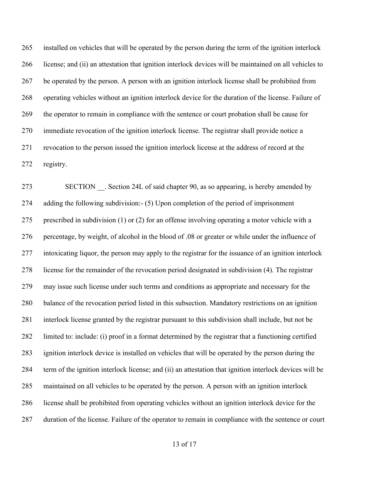installed on vehicles that will be operated by the person during the term of the ignition interlock license; and (ii) an attestation that ignition interlock devices will be maintained on all vehicles to be operated by the person. A person with an ignition interlock license shall be prohibited from operating vehicles without an ignition interlock device for the duration of the license. Failure of the operator to remain in compliance with the sentence or court probation shall be cause for immediate revocation of the ignition interlock license. The registrar shall provide notice a revocation to the person issued the ignition interlock license at the address of record at the registry.

 SECTION \_\_. Section 24L of said chapter 90, as so appearing, is hereby amended by adding the following subdivision:- (5) Upon completion of the period of imprisonment prescribed in subdivision (1) or (2) for an offense involving operating a motor vehicle with a percentage, by weight, of alcohol in the blood of .08 or greater or while under the influence of intoxicating liquor, the person may apply to the registrar for the issuance of an ignition interlock license for the remainder of the revocation period designated in subdivision (4). The registrar may issue such license under such terms and conditions as appropriate and necessary for the balance of the revocation period listed in this subsection. Mandatory restrictions on an ignition interlock license granted by the registrar pursuant to this subdivision shall include, but not be limited to: include: (i) proof in a format determined by the registrar that a functioning certified ignition interlock device is installed on vehicles that will be operated by the person during the term of the ignition interlock license; and (ii) an attestation that ignition interlock devices will be maintained on all vehicles to be operated by the person. A person with an ignition interlock license shall be prohibited from operating vehicles without an ignition interlock device for the duration of the license. Failure of the operator to remain in compliance with the sentence or court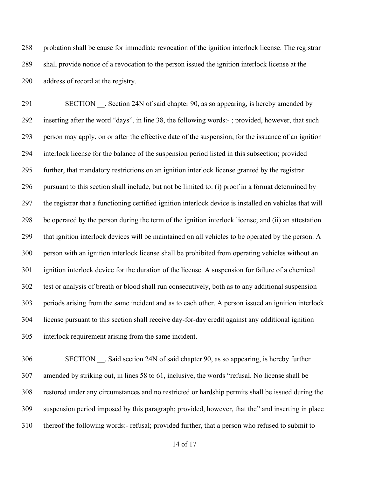probation shall be cause for immediate revocation of the ignition interlock license. The registrar shall provide notice of a revocation to the person issued the ignition interlock license at the address of record at the registry.

291 SECTION . Section 24N of said chapter 90, as so appearing, is hereby amended by inserting after the word "days", in line 38, the following words:- ; provided, however, that such person may apply, on or after the effective date of the suspension, for the issuance of an ignition interlock license for the balance of the suspension period listed in this subsection; provided further, that mandatory restrictions on an ignition interlock license granted by the registrar pursuant to this section shall include, but not be limited to: (i) proof in a format determined by the registrar that a functioning certified ignition interlock device is installed on vehicles that will be operated by the person during the term of the ignition interlock license; and (ii) an attestation that ignition interlock devices will be maintained on all vehicles to be operated by the person. A person with an ignition interlock license shall be prohibited from operating vehicles without an ignition interlock device for the duration of the license. A suspension for failure of a chemical test or analysis of breath or blood shall run consecutively, both as to any additional suspension periods arising from the same incident and as to each other. A person issued an ignition interlock license pursuant to this section shall receive day-for-day credit against any additional ignition interlock requirement arising from the same incident.

 SECTION \_\_. Said section 24N of said chapter 90, as so appearing, is hereby further amended by striking out, in lines 58 to 61, inclusive, the words "refusal. No license shall be restored under any circumstances and no restricted or hardship permits shall be issued during the suspension period imposed by this paragraph; provided, however, that the" and inserting in place thereof the following words:- refusal; provided further, that a person who refused to submit to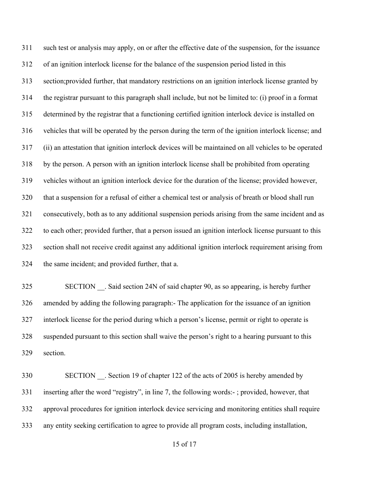such test or analysis may apply, on or after the effective date of the suspension, for the issuance of an ignition interlock license for the balance of the suspension period listed in this section;provided further, that mandatory restrictions on an ignition interlock license granted by the registrar pursuant to this paragraph shall include, but not be limited to: (i) proof in a format determined by the registrar that a functioning certified ignition interlock device is installed on vehicles that will be operated by the person during the term of the ignition interlock license; and (ii) an attestation that ignition interlock devices will be maintained on all vehicles to be operated by the person. A person with an ignition interlock license shall be prohibited from operating vehicles without an ignition interlock device for the duration of the license; provided however, that a suspension for a refusal of either a chemical test or analysis of breath or blood shall run consecutively, both as to any additional suspension periods arising from the same incident and as to each other; provided further, that a person issued an ignition interlock license pursuant to this section shall not receive credit against any additional ignition interlock requirement arising from the same incident; and provided further, that a.

 SECTION \_\_. Said section 24N of said chapter 90, as so appearing, is hereby further amended by adding the following paragraph:- The application for the issuance of an ignition interlock license for the period during which a person's license, permit or right to operate is suspended pursuant to this section shall waive the person's right to a hearing pursuant to this section.

330 SECTION . Section 19 of chapter 122 of the acts of 2005 is hereby amended by inserting after the word "registry", in line 7, the following words:- ; provided, however, that approval procedures for ignition interlock device servicing and monitoring entities shall require any entity seeking certification to agree to provide all program costs, including installation,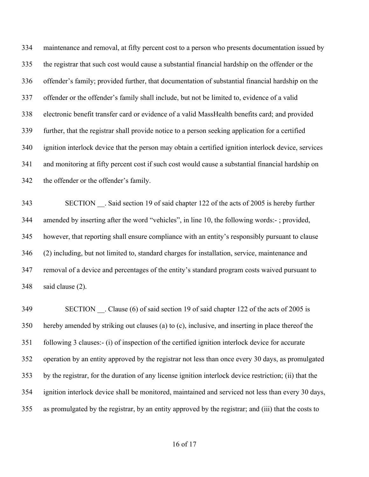maintenance and removal, at fifty percent cost to a person who presents documentation issued by the registrar that such cost would cause a substantial financial hardship on the offender or the offender's family; provided further, that documentation of substantial financial hardship on the offender or the offender's family shall include, but not be limited to, evidence of a valid electronic benefit transfer card or evidence of a valid MassHealth benefits card; and provided further, that the registrar shall provide notice to a person seeking application for a certified ignition interlock device that the person may obtain a certified ignition interlock device, services and monitoring at fifty percent cost if such cost would cause a substantial financial hardship on the offender or the offender's family.

343 SECTION . Said section 19 of said chapter 122 of the acts of 2005 is hereby further amended by inserting after the word "vehicles", in line 10, the following words:- ; provided, however, that reporting shall ensure compliance with an entity's responsibly pursuant to clause (2) including, but not limited to, standard charges for installation, service, maintenance and removal of a device and percentages of the entity's standard program costs waived pursuant to said clause (2).

349 SECTION Clause (6) of said section 19 of said chapter 122 of the acts of 2005 is hereby amended by striking out clauses (a) to (c), inclusive, and inserting in place thereof the following 3 clauses:- (i) of inspection of the certified ignition interlock device for accurate operation by an entity approved by the registrar not less than once every 30 days, as promulgated by the registrar, for the duration of any license ignition interlock device restriction; (ii) that the ignition interlock device shall be monitored, maintained and serviced not less than every 30 days, as promulgated by the registrar, by an entity approved by the registrar; and (iii) that the costs to